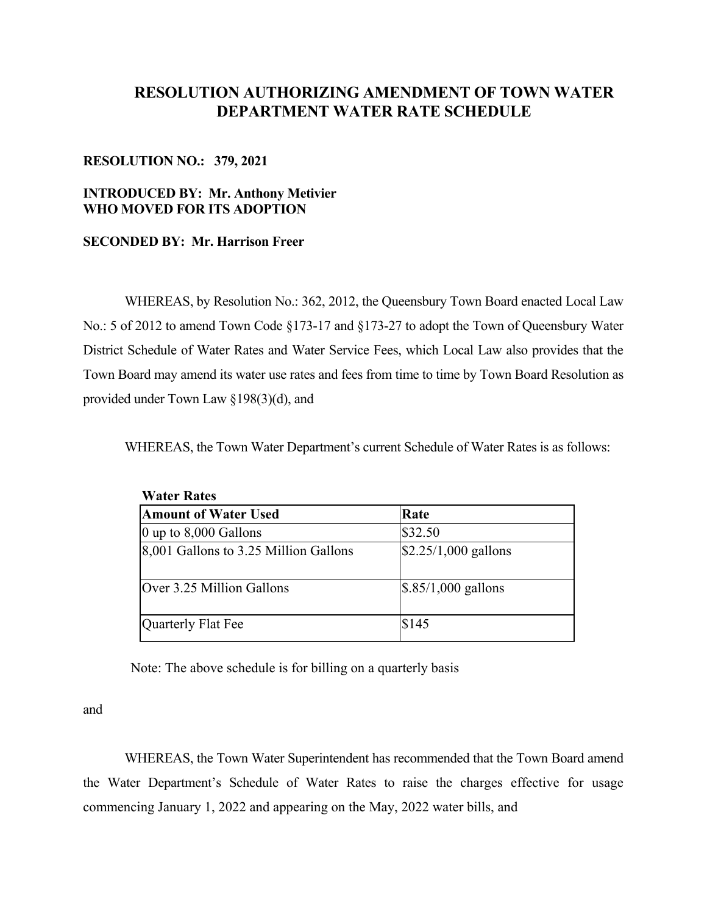# **RESOLUTION AUTHORIZING AMENDMENT OF TOWN WATER DEPARTMENT WATER RATE SCHEDULE**

## **RESOLUTION NO.: 379, 2021**

# **INTRODUCED BY: Mr. Anthony Metivier WHO MOVED FOR ITS ADOPTION**

## **SECONDED BY: Mr. Harrison Freer**

 WHEREAS, by Resolution No.: 362, 2012, the Queensbury Town Board enacted Local Law No.: 5 of 2012 to amend Town Code §173-17 and §173-27 to adopt the Town of Queensbury Water District Schedule of Water Rates and Water Service Fees, which Local Law also provides that the Town Board may amend its water use rates and fees from time to time by Town Board Resolution as provided under Town Law §198(3)(d), and

WHEREAS, the Town Water Department's current Schedule of Water Rates is as follows:

| <b>Water Rates</b>                    |                                 |
|---------------------------------------|---------------------------------|
| <b>Amount of Water Used</b>           | Rate                            |
| $ 0 \rangle$ up to 8,000 Gallons      | \$32.50                         |
| 8,001 Gallons to 3.25 Million Gallons | $$2.25/1,000$ gallons           |
| Over 3.25 Million Gallons             | $\frac{1}{2}$ .85/1,000 gallons |
| Quarterly Flat Fee                    | \$145                           |

Note: The above schedule is for billing on a quarterly basis

and

 WHEREAS, the Town Water Superintendent has recommended that the Town Board amend the Water Department's Schedule of Water Rates to raise the charges effective for usage commencing January 1, 2022 and appearing on the May, 2022 water bills, and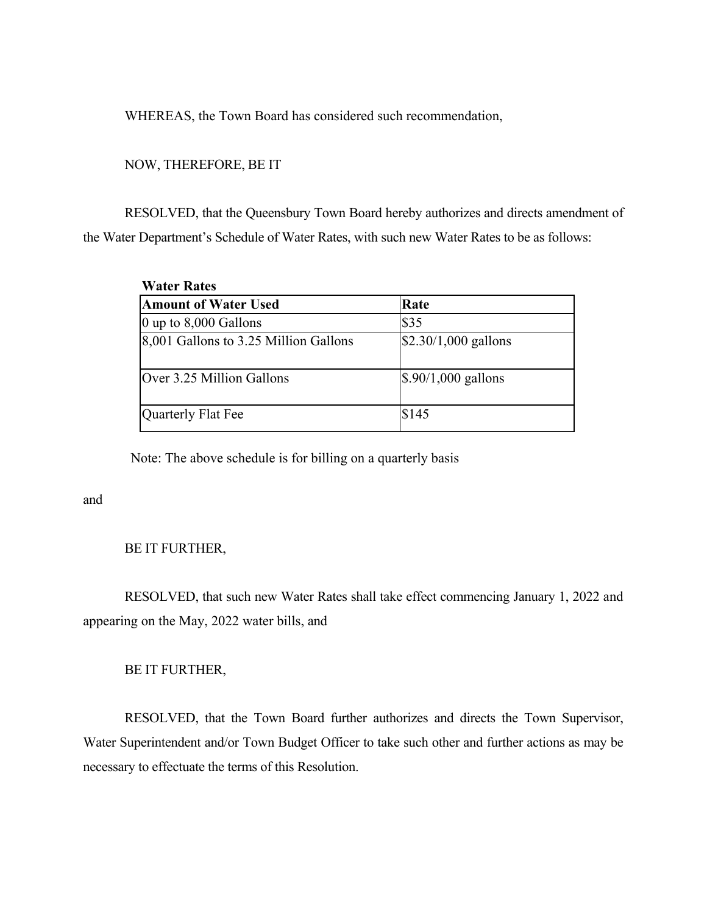WHEREAS, the Town Board has considered such recommendation,

## NOW, THEREFORE, BE IT

 RESOLVED, that the Queensbury Town Board hereby authorizes and directs amendment of the Water Department's Schedule of Water Rates, with such new Water Rates to be as follows:

| <b>Water Rates</b>                    |                       |
|---------------------------------------|-----------------------|
| <b>Amount of Water Used</b>           | Rate                  |
| $\vert$ 0 up to 8,000 Gallons         | \$35                  |
| 8,001 Gallons to 3.25 Million Gallons | $$2.30/1,000$ gallons |
| Over 3.25 Million Gallons             | $$.90/1,000$ gallons  |
| Quarterly Flat Fee                    | \$145                 |

Note: The above schedule is for billing on a quarterly basis

and

## BE IT FURTHER,

 RESOLVED, that such new Water Rates shall take effect commencing January 1, 2022 and appearing on the May, 2022 water bills, and

# BE IT FURTHER,

 RESOLVED, that the Town Board further authorizes and directs the Town Supervisor, Water Superintendent and/or Town Budget Officer to take such other and further actions as may be necessary to effectuate the terms of this Resolution.